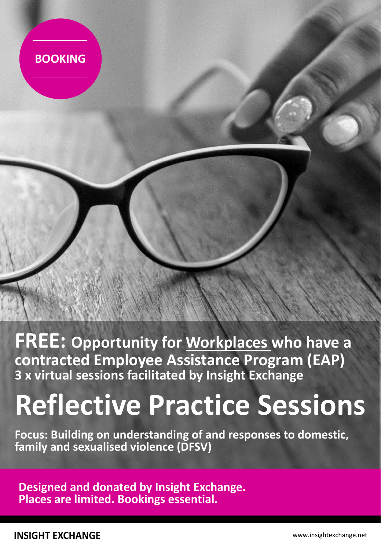

**FREE: Opportunity for Workplaces who have a contracted Employee Assistance Program (EAP) 3 x virtual sessions facilitated by Insight Exchange**

# **Reflective Practice Sessions**

**Focus: Building on understanding of and responses to domestic, family and sexualised violence (DFSV)** 

**Designed and donated by Insight Exchange. Places are limited. Bookings essential.**

**INSIGHT EXCHANGE**